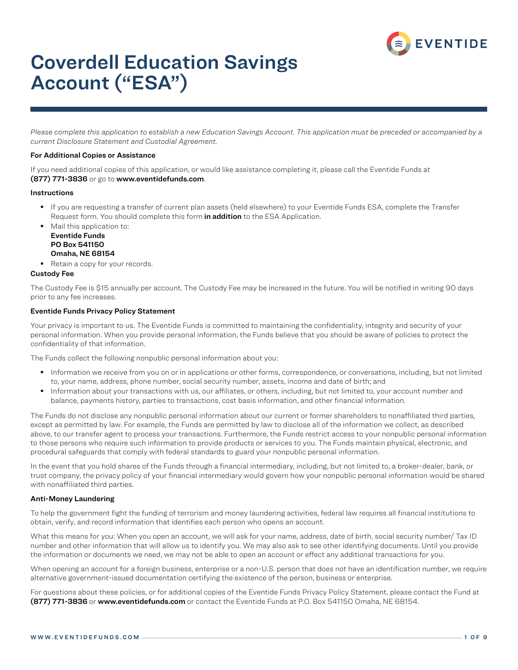

# Coverdell Education Savings Account ("ESA")

*Please complete this application to establish a new Education Savings Account. This application must be preceded or accompanied by a current Disclosure Statement and Custodial Agreement.*

### For Additional Copies or Assistance

If you need additional copies of this application, or would like assistance completing it, please call the Eventide Funds at (877) 771-3836 or go to www.eventidefunds.com.

#### Instructions

- If you are requesting a transfer of current plan assets (held elsewhere) to your Eventide Funds ESA, complete the Transfer Request form. You should complete this form in addition to the ESA Application.
- Mail this application to: Eventide Funds PO Box 541150 Omaha, NE 68154
- Retain a copy for your records.

### Custody Fee

The Custody Fee is \$15 annually per account. The Custody Fee may be increased in the future. You will be notified in writing 90 days prior to any fee increases.

### Eventide Funds Privacy Policy Statement

Your privacy is important to us. The Eventide Funds is committed to maintaining the confidentiality, integrity and security of your personal information. When you provide personal information, the Funds believe that you should be aware of policies to protect the confidentiality of that information.

The Funds collect the following nonpublic personal information about you:

- Information we receive from you on or in applications or other forms, correspondence, or conversations, including, but not limited to, your name, address, phone number, social security number, assets, income and date of birth; and
- Information about your transactions with us, our affiliates, or others, including, but not limited to, your account number and balance, payments history, parties to transactions, cost basis information, and other financial information.

The Funds do not disclose any nonpublic personal information about our current or former shareholders to nonaffiliated third parties, except as permitted by law. For example, the Funds are permitted by law to disclose all of the information we collect, as described above, to our transfer agent to process your transactions. Furthermore, the Funds restrict access to your nonpublic personal information to those persons who require such information to provide products or services to you. The Funds maintain physical, electronic, and procedural safeguards that comply with federal standards to guard your nonpublic personal information.

In the event that you hold shares of the Funds through a financial intermediary, including, but not limited to, a broker-dealer, bank, or trust company, the privacy policy of your financial intermediary would govern how your nonpublic personal information would be shared with nonaffiliated third parties.

### Anti-Money Laundering

To help the government fight the funding of terrorism and money laundering activities, federal law requires all financial institutions to obtain, verify, and record information that identifies each person who opens an account.

What this means for you: When you open an account, we will ask for your name, address, date of birth, social security number/ Tax ID number and other information that will allow us to identify you. We may also ask to see other identifying documents. Until you provide the information or documents we need, we may not be able to open an account or effect any additional transactions for you.

When opening an account for a foreign business, enterprise or a non-U.S. person that does not have an identification number, we require alternative government-issued documentation certifying the existence of the person, business or enterprise.

For questions about these policies, or for additional copies of the Eventide Funds Privacy Policy Statement, please contact the Fund at (877) 771-3836 or www.eventidefunds.com or contact the Eventide Funds at P.O. Box 541150 Omaha, NE 68154.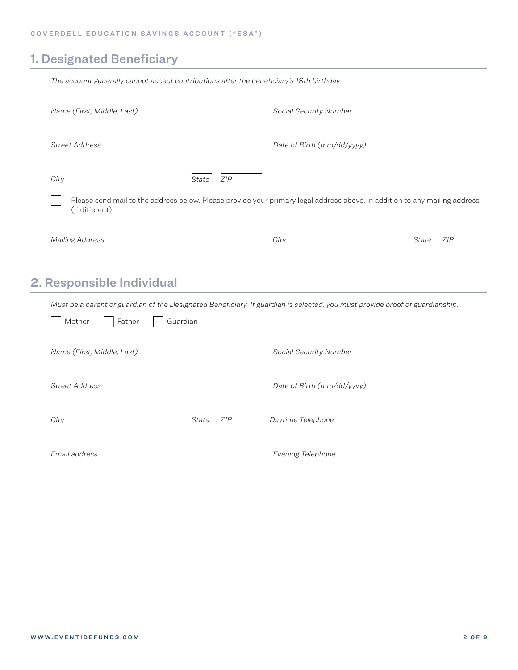## 1. Designated Beneficiary

| Name (First, Middle, Last) |              | Social Security Number                                                                                                       |              |
|----------------------------|--------------|------------------------------------------------------------------------------------------------------------------------------|--------------|
| <b>Street Address</b>      |              | Date of Birth (mm/dd/yyyy)                                                                                                   |              |
| City                       | ZIP<br>State |                                                                                                                              |              |
|                            |              | Please send mail to the address below. Please provide your primary legal address above, in addition to any mailing address   |              |
| (if different).            |              |                                                                                                                              |              |
| <b>Mailing Address</b>     |              | City                                                                                                                         | ZIP<br>State |
|                            |              |                                                                                                                              |              |
|                            |              |                                                                                                                              |              |
|                            |              |                                                                                                                              |              |
| 2. Responsible Individual  |              | Must be a parent or guardian of the Designated Beneficiary. If guardian is selected, you must provide proof of guardianship. |              |
| Mother<br>Father           | Guardian     |                                                                                                                              |              |
|                            |              |                                                                                                                              |              |
| Name (First, Middle, Last) |              | Social Security Number                                                                                                       |              |
| <b>Street Address</b>      |              | Date of Birth (mm/dd/yyyy)                                                                                                   |              |
|                            |              |                                                                                                                              |              |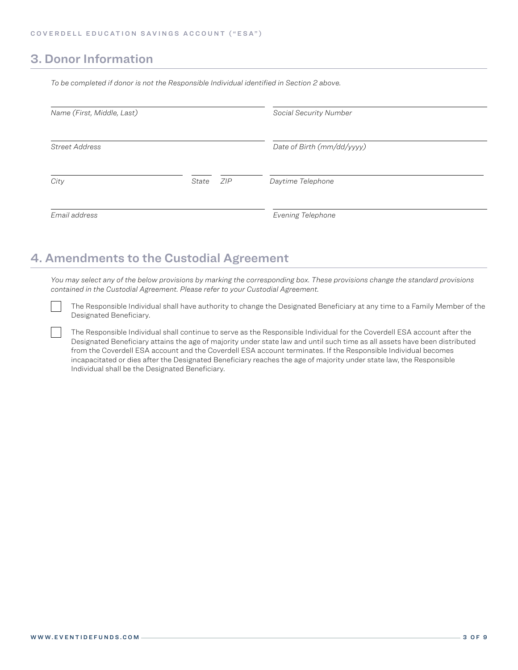## 3. Donor Information

*To be completed if donor is not the Responsible Individual identified in Section 2 above.*

| Name (First, Middle, Last) |              | Social Security Number     |  |
|----------------------------|--------------|----------------------------|--|
| <b>Street Address</b>      |              | Date of Birth (mm/dd/yyyy) |  |
| City                       | ZIP<br>State | Daytime Telephone          |  |
| Email address              |              | Evening Telephone          |  |

## 4. Amendments to the Custodial Agreement

*You may select any of the below provisions by marking the corresponding box. These provisions change the standard provisions contained in the Custodial Agreement. Please refer to your Custodial Agreement.*

The Responsible Individual shall have authority to change the Designated Beneficiary at any time to a Family Member of the Designated Beneficiary.

The Responsible Individual shall continue to serve as the Responsible Individual for the Coverdell ESA account after the Designated Beneficiary attains the age of majority under state law and until such time as all assets have been distributed from the Coverdell ESA account and the Coverdell ESA account terminates. If the Responsible Individual becomes incapacitated or dies after the Designated Beneficiary reaches the age of majority under state law, the Responsible Individual shall be the Designated Beneficiary.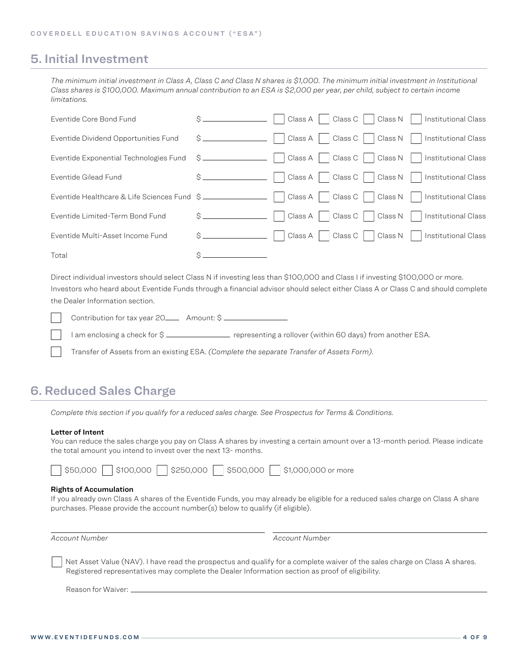### 5. Initial Investment

*The minimum initial investment in Class A, Class C and Class N shares is \$1,000. The minimum initial investment in Institutional Class shares is \$100,000. Maximum annual contribution to an ESA is \$2,000 per year, per child, subject to certain income limitations.*

| Eventide Core Bond Fund                     | Class C   Class N  <br>Class A  <br>Institutional Class                                                  |
|---------------------------------------------|----------------------------------------------------------------------------------------------------------|
| Eventide Dividend Opportunities Fund        | Class C   Class N  <br>Class A  <br>Institutional Class                                                  |
|                                             | Eventide Exponential Technologies Fund $\frac{1}{2}$   Class A   Class C   Class N   Institutional Class |
| Eventide Gilead Fund                        | Class A     Class C     Class N     Institutional Class                                                  |
| Eventide Healthcare & Life Sciences Fund \$ | Class C     Class N     Institutional Class                                                              |
| Eventide Limited-Term Bond Fund             | Class C   Class N  <br>Class A<br>Institutional Class                                                    |
| Eventide Multi-Asset Income Fund            | Class C     Class N<br>Institutional Class<br>Class A<br>$\mathbf{I}$                                    |
| Total                                       |                                                                                                          |

Direct individual investors should select Class N if investing less than \$100,000 and Class I if investing \$100,000 or more. Investors who heard about Eventide Funds through a financial advisor should select either Class A or Class C and should complete the Dealer Information section.

Contribution for tax year 20\_\_\_\_ Amount: \$ \_\_\_\_\_\_\_\_\_\_\_\_

I am enclosing a check for  $\zeta$  \_\_\_\_\_\_\_\_\_\_\_\_\_\_\_\_\_ representing a rollover (within 60 days) from another ESA.

Transfer of Assets from an existing ESA. *(Complete the separate Transfer of Assets Form).*

## 6. Reduced Sales Charge

*Complete this section if you qualify for a reduced sales charge. See Prospectus for Terms & Conditions.*

### Letter of Intent

You can reduce the sales charge you pay on Class A shares by investing a certain amount over a 13-month period. Please indicate the total amount you intend to invest over the next 13- months.

|  | \$50,000 |  |  |  | $\Box$ \$100,000 $\Box$ \$250,000 $\Box$ \$500,000 $\Box$ \$1,000,000 or more |
|--|----------|--|--|--|-------------------------------------------------------------------------------|
|--|----------|--|--|--|-------------------------------------------------------------------------------|

### Rights of Accumulation

If you already own Class A shares of the Eventide Funds, you may already be eligible for a reduced sales charge on Class A share purchases. Please provide the account number(s) below to qualify (if eligible).

*Account Number Account Number*

 Net Asset Value (NAV). I have read the prospectus and qualify for a complete waiver of the sales charge on Class A shares. Registered representatives may complete the Dealer Information section as proof of eligibility.

Reason for Waiver: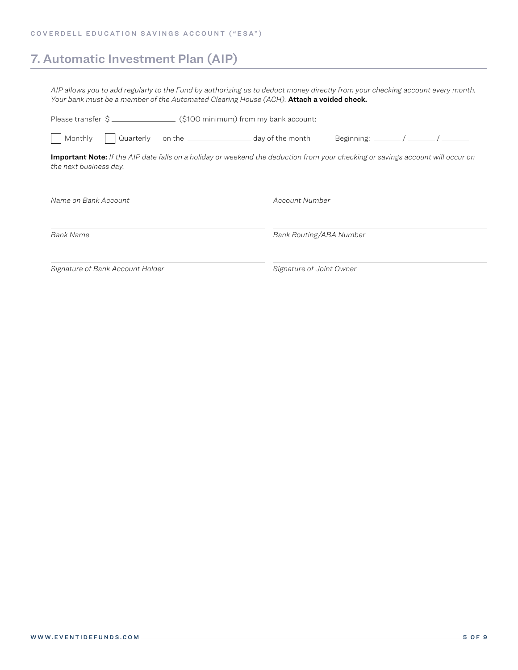## 7. Automatic Investment Plan (AIP)

*AIP allows you to add regularly to the Fund by authorizing us to deduct money directly from your checking account every month.*  Your bank must be a member of the Automated Clearing House (ACH). **Attach a voided check.** 

| Quarterly on the ________________________ day of the month<br>Monthly                                                                                            | Beginning: $\frac{1}{1}$ / $\frac{1}{1}$ / $\frac{1}{1}$ |  |  |  |  |
|------------------------------------------------------------------------------------------------------------------------------------------------------------------|----------------------------------------------------------|--|--|--|--|
| <b>Important Note:</b> If the AIP date falls on a holiday or weekend the deduction from your checking or savings account will occur on<br>the next business day. |                                                          |  |  |  |  |
| Name on Bank Account                                                                                                                                             | Account Number                                           |  |  |  |  |
| <b>Bank Name</b>                                                                                                                                                 | Bank Routing/ABA Number                                  |  |  |  |  |
| Signature of Bank Account Holder                                                                                                                                 | Signature of Joint Owner                                 |  |  |  |  |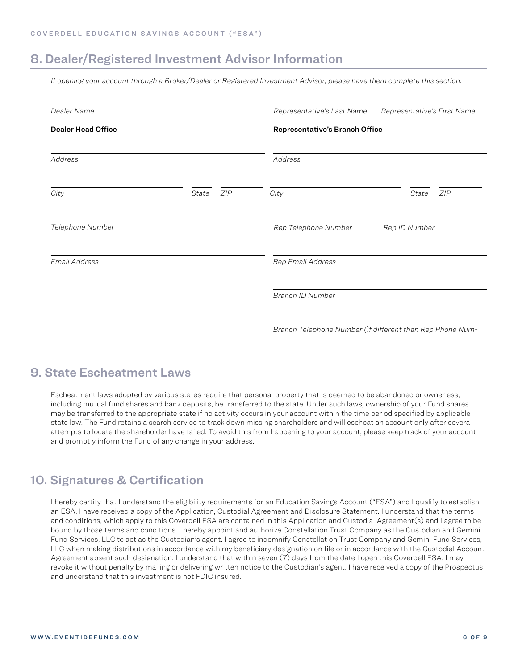## 8. Dealer/Registered Investment Advisor Information

*If opening your account through a Broker/Dealer or Registered Investment Advisor, please have them complete this section.*

| Dealer Name               |              | Representative's Last Name            | Representative's First Name                               |  |
|---------------------------|--------------|---------------------------------------|-----------------------------------------------------------|--|
| <b>Dealer Head Office</b> |              | <b>Representative's Branch Office</b> |                                                           |  |
| Address                   |              | Address                               |                                                           |  |
| City                      | ZIP<br>State | City                                  | ZIP<br>State                                              |  |
| Telephone Number          |              | Rep Telephone Number                  | Rep ID Number                                             |  |
| Email Address             |              | Rep Email Address                     |                                                           |  |
|                           |              | Branch ID Number                      |                                                           |  |
|                           |              |                                       | Branch Telephone Number (if different than Rep Phone Num- |  |

## 9. State Escheatment Laws

Escheatment laws adopted by various states require that personal property that is deemed to be abandoned or ownerless, including mutual fund shares and bank deposits, be transferred to the state. Under such laws, ownership of your Fund shares may be transferred to the appropriate state if no activity occurs in your account within the time period specified by applicable state law. The Fund retains a search service to track down missing shareholders and will escheat an account only after several attempts to locate the shareholder have failed. To avoid this from happening to your account, please keep track of your account and promptly inform the Fund of any change in your address.

## 10. Signatures & Certification

I hereby certify that I understand the eligibility requirements for an Education Savings Account ("ESA") and I qualify to establish an ESA. I have received a copy of the Application, Custodial Agreement and Disclosure Statement. I understand that the terms and conditions, which apply to this Coverdell ESA are contained in this Application and Custodial Agreement(s) and I agree to be bound by those terms and conditions. I hereby appoint and authorize Constellation Trust Company as the Custodian and Gemini Fund Services, LLC to act as the Custodian's agent. I agree to indemnify Constellation Trust Company and Gemini Fund Services, LLC when making distributions in accordance with my beneficiary designation on file or in accordance with the Custodial Account Agreement absent such designation. I understand that within seven (7) days from the date I open this Coverdell ESA, I may revoke it without penalty by mailing or delivering written notice to the Custodian's agent. I have received a copy of the Prospectus and understand that this investment is not FDIC insured.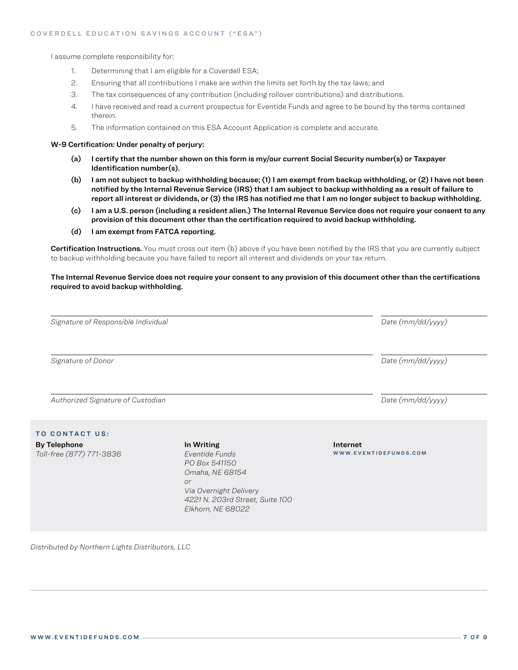I assume complete responsibility for:

- 1. Determining that I am eligible for a Coverdell ESA;
- 2. Ensuring that all contributions I make are within the limits set forth by the tax laws; and
- 3. The tax consequences of any contribution (including rollover contributions) and distributions.
- 4. I have received and read a current prospectus for Eventide Funds and agree to be bound by the terms contained therein.
- 5. The information contained on this ESA Account Application is complete and accurate.

### W-9 Certification: Under penalty of perjury:

- (a) I certify that the number shown on this form is my/our current Social Security number(s) or Taxpayer Identification number(s).
- (b) I am not subject to backup withholding because; (1) I am exempt from backup withholding, or (2) I have not been notified by the Internal Revenue Service (IRS) that I am subject to backup withholding as a result of failure to report all interest or dividends, or (3) the IRS has notified me that I am no longer subject to backup withholding.
- (c) I am a U.S. person (including a resident alien.) The Internal Revenue Service does not require your consent to any provision of this document other than the certification required to avoid backup withholding.
- (d) I am exempt from FATCA reporting.

Certification Instructions. You must cross out item (b) above if you have been notified by the IRS that you are currently subject to backup withholding because you have failed to report all interest and dividends on your tax return.

The Internal Revenue Service does not require your consent to any provision of this document other than the certifications required to avoid backup withholding.

| Signature of Responsible Individual             | Date (mm/dd/yyyy)                                                                                                                                               |                                   |
|-------------------------------------------------|-----------------------------------------------------------------------------------------------------------------------------------------------------------------|-----------------------------------|
| Signature of Donor                              |                                                                                                                                                                 | Date (mm/dd/yyyy)                 |
| Authorized Signature of Custodian               |                                                                                                                                                                 | Date (mm/dd/yyyy)                 |
| TO CONTACT US:                                  |                                                                                                                                                                 |                                   |
| <b>By Telephone</b><br>Toll-free (877) 771-3836 | In Writing<br>Eventide Funds<br>PO Box 541150<br>Omaha, NE 68154<br><b>or</b><br>Via Overnight Delivery<br>4221 N. 203rd Street, Suite 100<br>Elkhorn, NE 68022 | Internet<br>WWW.EVENTIDEFUNDS.COM |

*Distributed by Northern Lights Distributors, LLC*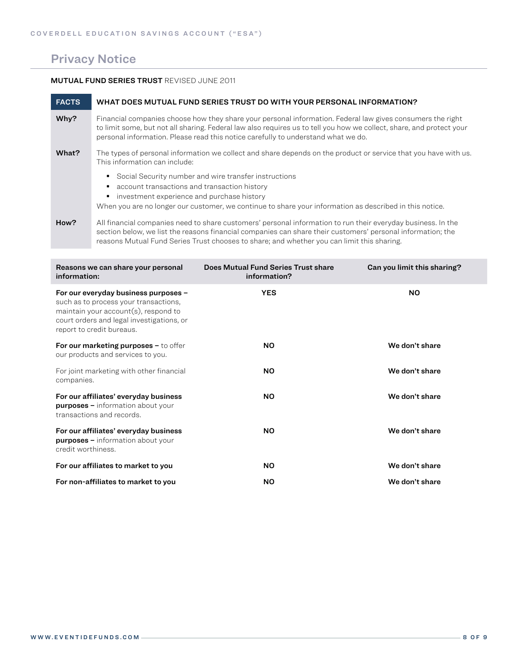## Privacy Notice

### MUTUAL FUND SERIES TRUST REVISED JUNE 2011

| <b>FACTS</b> | WHAT DOES MUTUAL FUND SERIES TRUST DO WITH YOUR PERSONAL INFORMATION?                                                                                                                                                                                                                                                   |
|--------------|-------------------------------------------------------------------------------------------------------------------------------------------------------------------------------------------------------------------------------------------------------------------------------------------------------------------------|
| Why?         | Financial companies choose how they share your personal information. Federal law gives consumers the right<br>to limit some, but not all sharing. Federal law also requires us to tell you how we collect, share, and protect your<br>personal information. Please read this notice carefully to understand what we do. |
| What?        | The types of personal information we collect and share depends on the product or service that you have with us.<br>This information can include:                                                                                                                                                                        |
|              | Social Security number and wire transfer instructions<br>٠<br>account transactions and transaction history<br>investment experience and purchase history<br>When you are no longer our customer, we continue to share your information as described in this notice.                                                     |
| How?         | All financial companies need to share customers' personal information to run their everyday business. In the<br>section below, we list the reasons financial companies can share their customers' personal information; the                                                                                             |

reasons Mutual Fund Series Trust chooses to share; and whether you can limit this sharing.

| Reasons we can share your personal<br>information:                                                                                                                                                 | Does Mutual Fund Series Trust share<br>information? | Can you limit this sharing? |
|----------------------------------------------------------------------------------------------------------------------------------------------------------------------------------------------------|-----------------------------------------------------|-----------------------------|
| For our everyday business purposes -<br>such as to process your transactions,<br>maintain your $account(s)$ , respond to<br>court orders and legal investigations, or<br>report to credit bureaus. | <b>YES</b>                                          | <b>NO</b>                   |
| For our marketing purposes $-$ to offer<br>our products and services to you.                                                                                                                       | <b>NO</b>                                           | We don't share              |
| For joint marketing with other financial<br>companies.                                                                                                                                             | NO.                                                 | We don't share              |
| For our affiliates' everyday business<br><b>purposes</b> - information about your<br>transactions and records.                                                                                     | <b>NO</b>                                           | We don't share              |
| For our affiliates' everyday business<br><b>purposes</b> - information about your<br>credit worthiness.                                                                                            | <b>NO</b>                                           | We don't share              |
| For our affiliates to market to you                                                                                                                                                                | <b>NO</b>                                           | We don't share              |
| For non-affiliates to market to you                                                                                                                                                                | <b>NO</b>                                           | We don't share              |